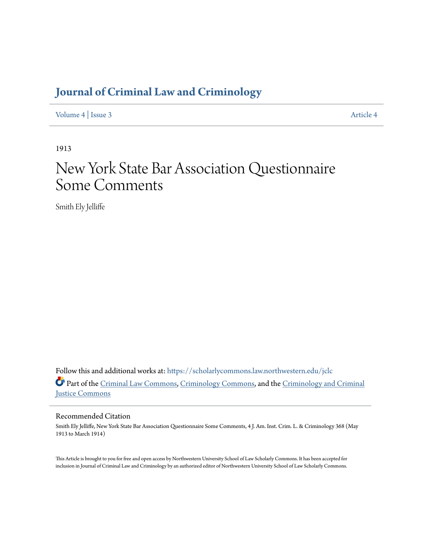## **[Journal of Criminal Law and Criminology](https://scholarlycommons.law.northwestern.edu/jclc?utm_source=scholarlycommons.law.northwestern.edu%2Fjclc%2Fvol4%2Fiss3%2F4&utm_medium=PDF&utm_campaign=PDFCoverPages)**

[Volume 4](https://scholarlycommons.law.northwestern.edu/jclc/vol4?utm_source=scholarlycommons.law.northwestern.edu%2Fjclc%2Fvol4%2Fiss3%2F4&utm_medium=PDF&utm_campaign=PDFCoverPages) | [Issue 3](https://scholarlycommons.law.northwestern.edu/jclc/vol4/iss3?utm_source=scholarlycommons.law.northwestern.edu%2Fjclc%2Fvol4%2Fiss3%2F4&utm_medium=PDF&utm_campaign=PDFCoverPages) [Article 4](https://scholarlycommons.law.northwestern.edu/jclc/vol4/iss3/4?utm_source=scholarlycommons.law.northwestern.edu%2Fjclc%2Fvol4%2Fiss3%2F4&utm_medium=PDF&utm_campaign=PDFCoverPages)

1913

# New York State Bar Association Questionnaire Some Comments

Smith Ely Jelliffe

Follow this and additional works at: [https://scholarlycommons.law.northwestern.edu/jclc](https://scholarlycommons.law.northwestern.edu/jclc?utm_source=scholarlycommons.law.northwestern.edu%2Fjclc%2Fvol4%2Fiss3%2F4&utm_medium=PDF&utm_campaign=PDFCoverPages) Part of the [Criminal Law Commons](http://network.bepress.com/hgg/discipline/912?utm_source=scholarlycommons.law.northwestern.edu%2Fjclc%2Fvol4%2Fiss3%2F4&utm_medium=PDF&utm_campaign=PDFCoverPages), [Criminology Commons](http://network.bepress.com/hgg/discipline/417?utm_source=scholarlycommons.law.northwestern.edu%2Fjclc%2Fvol4%2Fiss3%2F4&utm_medium=PDF&utm_campaign=PDFCoverPages), and the [Criminology and Criminal](http://network.bepress.com/hgg/discipline/367?utm_source=scholarlycommons.law.northwestern.edu%2Fjclc%2Fvol4%2Fiss3%2F4&utm_medium=PDF&utm_campaign=PDFCoverPages) [Justice Commons](http://network.bepress.com/hgg/discipline/367?utm_source=scholarlycommons.law.northwestern.edu%2Fjclc%2Fvol4%2Fiss3%2F4&utm_medium=PDF&utm_campaign=PDFCoverPages)

#### Recommended Citation

Smith Ely Jelliffe, New York State Bar Association Questionnaire Some Comments, 4 J. Am. Inst. Crim. L. & Criminology 368 (May 1913 to March 1914)

This Article is brought to you for free and open access by Northwestern University School of Law Scholarly Commons. It has been accepted for inclusion in Journal of Criminal Law and Criminology by an authorized editor of Northwestern University School of Law Scholarly Commons.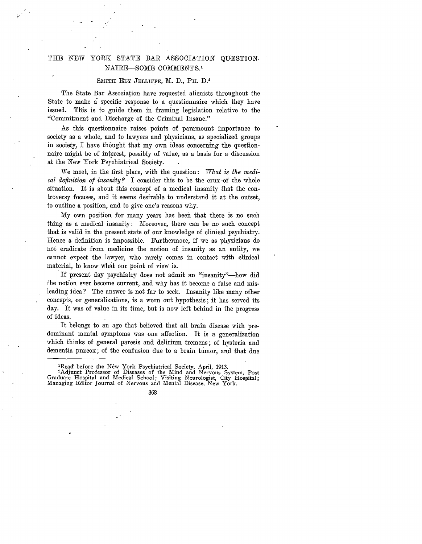#### THE NEW YORK STATE BAR ASSOCIATION QUESTION. NAIRE-SOME COMMENTS.<sup>1</sup>

### SMITH ELY JELLIFFE, M. D., PH. D.<sup>2</sup>

The State Bar Association have requested alienists throughout the State to make a specific response to a questionnaire which they have issued. This is to guide them in framing legislation relative to the "Commitment and Discharge of the Criminal Insane."

As this questionnaire raises points of paramount importance to society as a whole, and to lawyers and physicians, as specialized groups in society, I have thought that my own ideas concerning the questionnaire might be of interest, possibly of value, as a basis for a discussion at the New York Psychiatrical Society.

We meet, in the first place, with the question: *What is the medical definition of insanity?* I consider this to be the crux of the whole situation. It is about this concept of a medical insanity that the controversy focuses, and it seems desirable to understand it at the outset, to outline a position, and to give one's reasons why.

My own position for many years has been that there is no such thing as a medical insanity: Moreover, there can be no such concept that is valid in the present state of our knowledge of clinical psychiatry. Hence a definition is impossible. Furthermore, if we as physicians do not eradicate from medicine the notion of insanity as an entity, we cannot expect the lawyer, who rarely comes in contact with clinical material, to know what our point of view is.

If present day psychiatry does not admit an "insanity"-how did the notion ever become current, and why has it become a false and misleading idea? The answer is not far to seek. Insanity like many other concepts, or generalizations, is a worn out hypothesis; it has served its day. It was of value in its time, but is now left behind in the progress of ideas.

It belongs to an age that believed that all brain disease with predominant mental symptoms was one affection. It is a generalization which thinks of general paresis and delirium tremens; of hysteria and dementia præcox; of the confusion due to a brain tumor, and that due

exped before the New York Psychiatrical Society, April, 1913.<br>2Adjunct Professor of Diseases of the Mind and Nervous System, Post Graduate Hospital and Medical School; Visiting Neurologist, City Hospital; Managing Editor Journal of Nervous and Mental Disease, New York.

**<sup>368</sup>**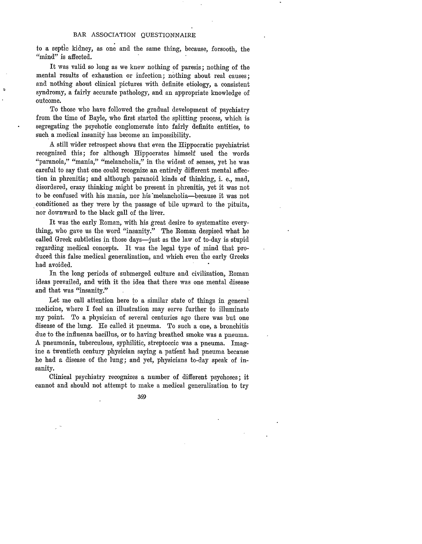to a septic kidney, as one and the same thing, because, forsooth, the "mind" is affected.

It was valid so long as we knew nothing of paresis; nothing of the mental results of exhaustion or infection; nothing about real causes; and nothing about clinical pictures with definite etiology, a consistent syndromy, a fairly accurate pathology, and an appropriate knowledge of outcome.

To those who have followed the gradual development of psychiatry from the time of Bayle, who first started the splitting process, which is segregating the psychotic conglomerate into fairly definite entities, to such a medical insanity has become an impossibility.

A still wider retrospect shows that even the Hippocratic psychiatrist recognized this; for although Hippocrates himself used the words "paranoia," "mania," "melancholia," in the widest of senses, yet he was careful to say that one could recognize an entirely different mental affection in phrenitis; and although paranoid kinds of thinking, i. e., mad, disordered, crazy thinking might be present in phrenitis, yet it was not to be confused with his mania, nor his "melancholia-because it was not conditioned as they were by the passage of bile upward to the pitnita, nor downward to the black gall of the liver.

It was the early Roman, with his great desire to systematize everything, who gave us the word "insanity." The Roman despised what he called Greek subtleties in those days-just as the law of to-day is stupid regarding medical concepts. It was the legal type of mind that produced this false medical generalization, and which even the early Greeks had avoided.

In the long periods of submerged culture and civilization, Roman ideas prevailed, and with it the idea that there was one mental disease and that was "insanity."

Let me call attention here to a similar state of things in general medicine, where I feel an illustration may serve further to illuminate my point. To a physician of several centuries ago there was but one disease of the lung. He called it pneuma. To such a one, a bronchitis due to the influenza bacillus, or to having breathed smoke was a pneuma. A pneumonia, tuberculous, syphilitic, streptoccic was a pneuma. Imagine a twentieth century physician saying a patient had pneuma because he had a disease of the lung; and yet, physicians to-day speak of insanity.

Clinical psychiatry recognizes a number of different psychoses; it cannot and should not attempt to make a medical generalization to try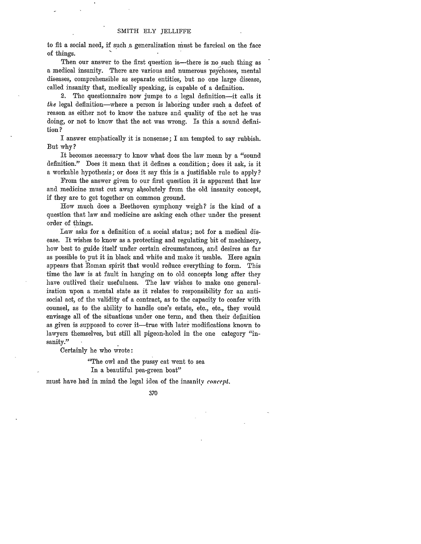to fit a social need, if such a generalization must be farcical on the face of things.

Then our answer to the first question is-there is no such thing as a medical insanity. There are various and numerous psychoses, mental diseases, comprehensible as separate entities, but no one large disease, called insanity that, medically speaking, is capable of a definition.

2. The questionnaire now jumps to  $a$  legal definition--it calls it *the* legal definition-where a person is laboring under such a defect of reason as either not to know the nature and quality of the act he was doing, or not to know that the act was wrong. Is this a sound definition *?*

I answer emphatically it is nonsense; I am tempted to say rubbish. But why?

It becomes necessary to know what does the law mean by a "sound definition." Does it mean that it defines a condition; does it ask, is it a workable hypothesis; or does it say this is a justifiable rule to apply?

From the answer given to our first question it is apparent that law and medicine must cut away albsolutely from the old insanity concept, if they are to get together on common ground.

How much does a Beethoven symphony weigh? is the kind of a question that law and medicine are asking each other under the present order of things.

Law asks for a definition of a social status; not for a medical disease. It wishes to know as a protecting and regulating bit of machinery, how best to guide itself under certain circumstances, and desires as far as possible to put it in black and white and make it usable. Here again appears that Roman spirit that would reduce everything to form. This time the law is at fault in hanging on to old concepts long after they have outlived their usefulness. The law wishes to make one generalization upon a mental state as it relates to responsibility for an antisocial act, of the validity of a contract, as to the capacity to confer with counsel, as to the ability to handle one's estate, etc., etc., they would envisage all of the situations under one term, and then their definition as given is supposed to cover it—true with later modifications known to lawyers themselves, but still all pigeon-holed in the one category "insanity."

Certainly he who wrote:

"The owl and the pussy cat went to sea In a beautiful pea-green boat"

must have had in mind the legal idea of the insanity *concept.*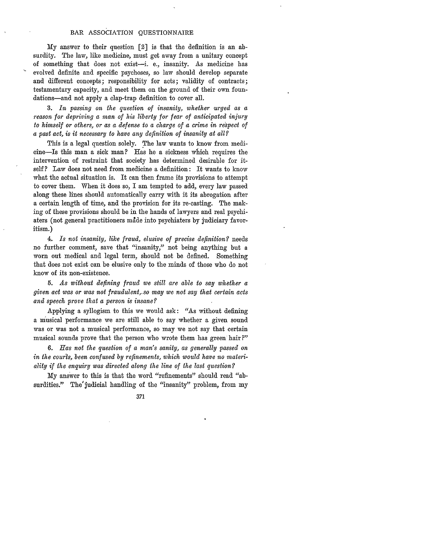**My** answer to their question [2] is that the definition is an absurdity. The law, like medicine, must get away from a unitary concept of something that does not exist-i. e., insanity. As medicine has evolved definite and specific psychoses, so law should develop separate and different concepts; responsibility for acts; validity of contracts; testamentary capacity, and meet them on the ground of their own foundations-and not apply a clap-trap definition to cover all.

3. *In passing on the question of insanity, whether urged as a reason for depriving a man of his liberty for fear of anticipated injury to himself or others, or as a defense to a charge of a crime in respect of a past act, is it necessary to have any definition of insanity at all?*

This is a legal question solely. The law wants to know from medicine-Is this man a sick man? *Has* he a sickness which requires the intervention of restraint that society has determined desirable for itself? Law does not need from medicine a definition: It wants to know what the actual situation is. It can then frame its provisions to attempt to cover them. When it does so, I am tempted to add, every law passed along these lines should automatically carry with it its abrogation after a certain length of time, and the provision for its re-casting. The making of these provisions should be in the hands of lawyers and real psychiaters (not general practitioners made into psychiaters by judiciary favoritism.)

4. *Is not insanity, like fraud, elusive of precise definition?* needs no further comment, save that "insanity," not being anything but a worn out medical and legal term, should not be defined. Something that does not exist can be elusive only to the minds of those who do not know of its non-existence.

*5. As without defining fraud we still are able to say whether a given act was or was not fraudulent,.so may we not say that certain acts and speech prove that a person is insane?*

Applying a syllogism to this we would ask: "As without defining a musical performance we are still able to say whether a given sound was or was not a musical performance, so may we not say that certain musical sounds prove that the person who wrote them has green hair?"

*6. Has not the question of a man's sanity, as generally passed on in the courts, been confused by refinements, which would have no materiality if the enquiry was directed along the line of the last question?*

**Aly** answer to this is that the word "refinements" should read "absurdities." The judicial handling of the "insanity" problem, from my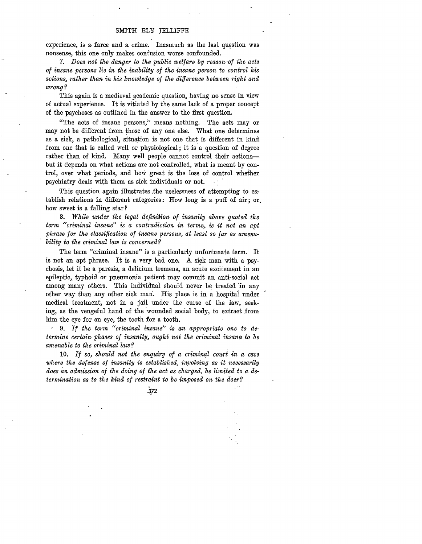experience, is a farce and a crime. Inasmuch as the last question was nonsense, this one only makes confusion worse confounded.

*7. Does not the danger to the public welfare by reason 'of the acts of insane persons lie in the inability of the insane person to control his actions, rather than in his knowledge of the difference between right and wrong?*

This again is a medieval academic question, having no sense in view of actual experience. It is vitiated by the same lack of a proper concept of the psychoses as outlined in the answer to the first question.

"The acts of insane persons," means nothing. The acts may or may not be different from those of any one else. What one determines as a sick, a pathological, situation is not one that is different in kind. from one that is called well or physiological; it is a question of degree rather than of kind. Many well people cannot control their actions. but it depends on what actions are not controlled, what is meant by control, over what periods, and how great is the loss of control whether psychiatry deals with them as sick individuals or not. **-**

This question again illustrates the uselessness of attempting to establish relations in different categories: How long is a puff of air; or. how sweet is a falling star?

*8. While under the legal defln.ition of insanity above quoted the term "criminal insane" is a contradiction in terms, is it not an apt phrase for the classification of insane persons, at least so far as amenability to the criminal law is concerned?*

The term "criminal insane" is a particularly unfortunate term. It is not an apt phrase. It is a very bad one. **A** sick man with a psychosis, let it be a paresis, a delirium tremens, an acute excitement in an epileptic,, typhoid or pneumonia patient may commit an anti-social act among many others. This individual should never be treated 'in any other way than any other sick man'. His place is in a hospital under medical treatment, not in a jail under the curse of the law, seeking, as the vengeful hand of the wounded social body, to extract from him the eye for an eye, the tooth for a tooth.

**-** 9. *If the term "criminal insane" is an appropriate one to determine certain phases of insanity, ought not the criminal insane to be amenable to the criminal law?*

10. *If so, should not the enquiry of a criminal court in a case where the defense of insanity is established, involving as it necessarily does an admission of the doing of the act as charged, be limited to a determination as to the kind of restraint to be imposed on the doer?*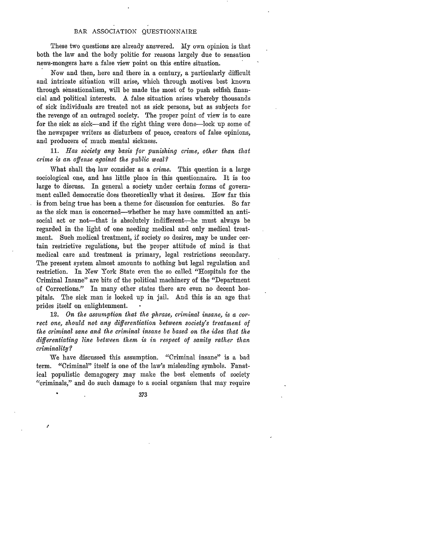These two questions are already answered. My own opinion is that both the law and the body politic for reasons largely due to sensation news-mongers have a false view point on this entire situation.

Now and then, here and there in a century, a particularly difficult and intricate situation will arise, which through motives best known through sensationalism, will be made the most of to push selfish financial and political interests. A false situation arises whereby thousands of sick individuals are treated not as sick persons, but as subjects for the revenge of an outraged society. The proper point of view is to care for the sick as sick-and if the right thing were done-lock up some of the newspaper writers as disturbers of peace, creators of false opinions, and producers of much mental sickness.

**11.** *Has society any basis for punishing crime, other than that crime is an offense against the public weal?*

What shall the law consider as a *crime*. This question is a large sociological one, and has little place in this questionnaire. It is too large to discuss. In general a society under certain forms of government called democratic does theoretically what it desires. How far this is from being true has been a theme for discussion for centuries. So far as the sick man is concerned-whether he may have committed an antisocial act or not-that is absolutely indifferent-he must always be regarded in the light of one needing medical and only medical treatment. Such medical treatment, if society so desires, may be under certain restrictive regulations, but the proper attitude of mind is that medical care and treatment is primary, legal restrictions secondary. The present system almost amounts to nothing but legal regulation and restriction. In New York State even the so called "Hospitals for the Criminal Insane" are bits of the political machinery of the "Department of Corrections." In many other states there are even no decent hospitals. The sick man is locked up in jail. And this is an age that prides itself on enlightenment.

12. *On the assumption that the phrase, criminal insane, is a correct one, should not any differentiation between society's treatment of the criminal sane and the criminal insane be based on the idea that the differentiating line between them is in respect of sanity rather than criminality?*

We have discussed this assumption. "Criminal insane" is a bad term. "Criminal" itself is one of the law's misleading symbols. Fanatical populistic demagogery may make the best elements of society "criminals," and do such damage to a social organism that may require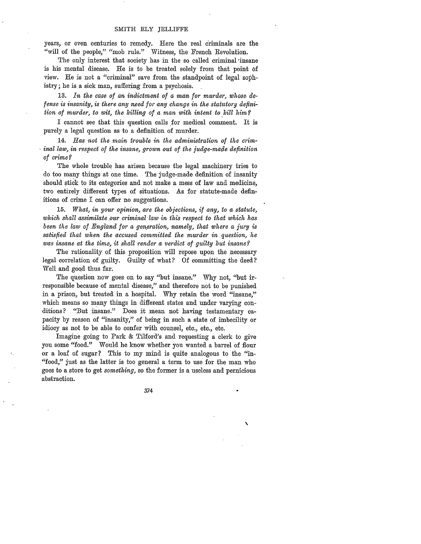years, or even centuries to remedy. Here the real criminals are the "will of the people," "mob rule." Witness, the French Revolution.

The only interest that society has in the so called criminal insane is his mental disease. He is to be treated solely from that point **of** view. He is not a "criminal" save from the standpoint of legal sophistry; he is a sick man, suffering from a psychosis.

13. *In the case of an indictment of a man for murder, whose defense is insanity, is there any need for any change in the statutory definition of murder, to wit, the killing of a man with intent to 'kill him?*

I cannot see that this question calls for medical comment. It is purely a legal question as to a definition of murder.

14. *Has not the main trouble in the administration of the criminal law, in respect of the insane, grown out of the judge-made definition of crime?*

The whole trouble has arisen because the legal machinery tries to do too many things at one time. The judge-made definition of insanity should stick to its categories and not make a mess of law and medicine, two entirely different types of situations. As for statute-made definitions of crime I can offer no suggestions.

15. *What, in your opinion, are the objections, if any, to a statute, which shall assimilate our criminal law in this respect to that which has been the law of England for a generation, namely, that where a jury is satisfied that when the accused committed the murder in question, he was insane at the time, it shall render a verdict of guilty but insane?*

The rationality of this proposition will repose upon the necessary legal correlation of guilty. Guilty of what? Of committing the deed ? Well and good thus far.

The question now goes on to say "but insane." Why not, "but irresponsible because of mental disease," and therefore not to be punished in a prison, but treated in a hospital. Why retain the word "insane," which means so many things in different states and under varying conditions? "But insane." Does it mean not having testamentary capacity by reason of "insanity," of being in such a state of imbecility or idiocy as not to be able to confer with counsel, etc., etc., etc.

Imagine going to Park & Tilford's and requesting a clerk to give you some "food." Would he know whether you wanted a barrel of flour or a loaf of sugar? This to my mind is quite analogous to the "in- "food," just as the latter is too general a term to use for the man who goes to a store to get *something,* so the former is a useless and pernicious abstraction.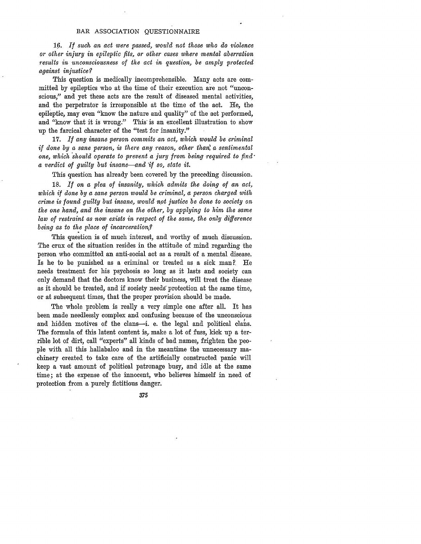*16. If such an act were passed, would not those who do violence or other injury in epileptic fits, or other cases where mental aberration results in unconsciousness of the act in question, be amply protected against injustice?*

This question is medically incomprehensible. Many acts are committed by epileptics who at the time of their execution are not "unconscious," and yet these acts are the result of diseased mental activities, and the perpetrator is irresponsible at the time of the act. He, the epileptic, may even "know the nature and quality" of the act performed, and "know that it is wrong." This is an excellent illustration to show up the farcical character of the "test for insanity."

**17.** *If any insane person commits an act, which would be criminal if done by a sane person, is there any reason, other than! a sentimental one, which should operate to prevent a jury from being required to finda verdict of guilty but insane-and 'if so, state it.*

This question has already been covered by the preceding discussion.

18. *If on a plea of insanity, which admits the doing of an act, which if done by a sane person would be criminal, a person charged with crime is found guilty but insane, would not justice be done to society on the one hand, and the insane on the other, by applying to him the same law of restraint as now exists in respect of the same, the only difference being as to the place of incarceration,?*

This question is of much interest, and worthy of much discussion. The crux of the situation resides in the attitude of mind regarding the person who committed an anti-social act as a result of a mental disease. Is he to be punished as a criminal or treated as a sick man? He needs treatment for his psychosis so long as it lasts and society can only demand that the doctors know their business, will treat the disease as it should be treated, and if society needs protection at the same time, or at subsequent times, that the proper provision should be made.

The whole problem is really a very simple one after all. It has been made needlessly complex and confusing because of the unconscious and hidden motives of the clans-i. e. the legal and political clans. The formula of this latent content is, make a lot of fuss, kick up a terrible lot of dirt, call "experts" all kinds of bad names, frighten the people with all this hallabaloo and in the meantime the unnecessary machinery created to take care of the artificially constructed panic will keep a vast amount of political patronage busy, and idle at the same time; at the expense of the innocent, who believes himself in need of protection from a purely fictitious danger.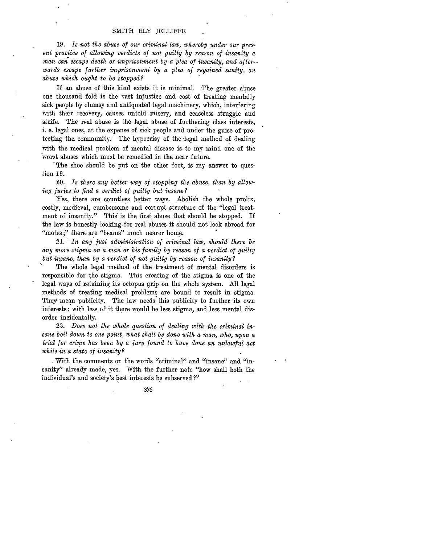19. Is not the abuse of our criminal law, whereby under our pres*ent practice of allowing verdicts of not guilty by reason of insanity a man* can *escape death or imprisonment by a plea of insanity, and after; wards escape further imprisonment by a plea of regained sanity, an abuse which ought to be stopped?*

If an abuse of this kind exists it is minimal. The greater abuse one thousand fold is the vast injustice and cost of treating mentally sick people by clumsy and antiquated legal machinery, which, interfering with their recovery, causes untold misery, and ceaseless struggle and strife. The real abuse is the legal abuse of furthering class interests, i. e. legal ones, at the expense of sick people and under the guise of protecting the community. The hypocrisy of the legal method of dealing with the medical problem of mental disease is to my mind one of the worst abuses which must be remedied in the near future.

The shoe should be put on the other foot, is my answer to question 19.

*20. Is there any better way of stopping the abuse, than by allowing juries to find a verdict of guilty but insane?*

Yes, there are countless better ways. Abolish the whole prolix, costly, medieval, cumbersome and corrupt structure of the "legal treatment of insanity." This' is the first abuse that should be stopped. If the law is honestly looking for real abuses it should not look abroad for "motes;" there are "beams" much nearer home.

21. *In any just administration of criminal law, should there be any more stigma* on *a man or his family by reason of a verdict of guilty but insane, than by a verdict of not guilty by reason of insanity?*

**<sup>N</sup>**The whole legal method of the treatment of mental disorders is responsible for the stigma. This creating of the stigma is one of the legal ways of retaining its octopus grip on the whole system. All legal methods of treating medical problems are bound to result in stigma. They mean publicity. The law needs this publicity to further its own interests; with less of it there would be less stigma, and less mental disorder incidentally.

22. *Does not the whole question of dealing with the criminal insane boil down to one point, what shall be done with a man, who, upon a trial for crime has been by a jury found to lave done an unlawful act while in a state of insanity?*

**,** With the comments on the words "criminal" and "insane" and "insanity" already made, yes. With the further note "how shall both the individual's and society's best interests be subserved ?"